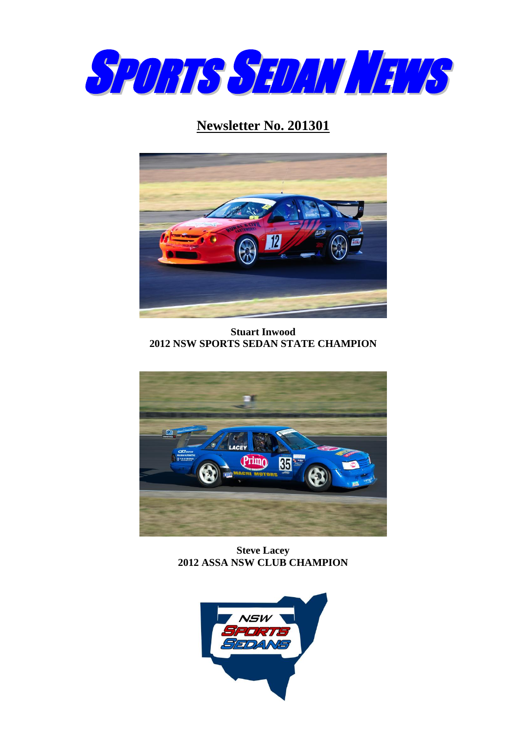

# **Newsletter No. 201301**



**Stuart Inwood 2012 NSW SPORTS SEDAN STATE CHAMPION**



**Steve Lacey 2012 ASSA NSW CLUB CHAMPION**

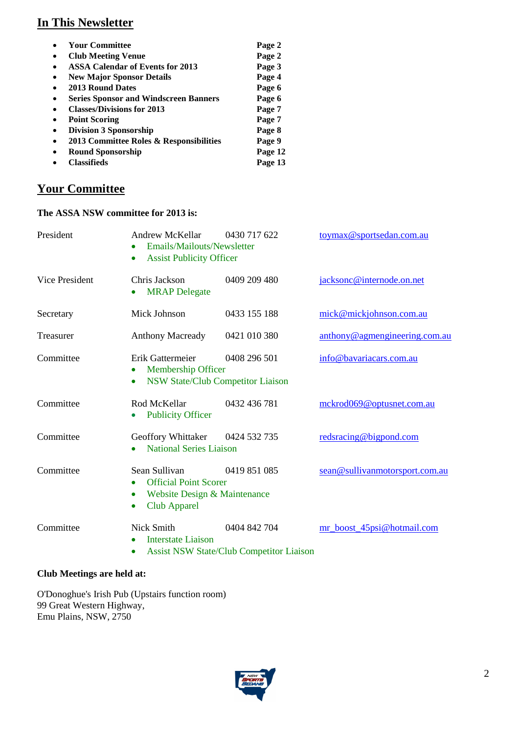## **In This Newsletter**

|           | <b>Your Committee</b>                        | Page 2  |
|-----------|----------------------------------------------|---------|
| $\bullet$ | <b>Club Meeting Venue</b>                    | Page 2  |
| $\bullet$ | <b>ASSA Calendar of Events for 2013</b>      | Page 3  |
| $\bullet$ | <b>New Major Sponsor Details</b>             | Page 4  |
| $\bullet$ | 2013 Round Dates                             | Page 6  |
| $\bullet$ | <b>Series Sponsor and Windscreen Banners</b> | Page 6  |
|           | <b>Classes/Divisions for 2013</b>            | Page 7  |
| $\bullet$ | <b>Point Scoring</b>                         | Page 7  |
| $\bullet$ | <b>Division 3 Sponsorship</b>                | Page 8  |
| $\bullet$ | 2013 Committee Roles & Responsibilities      | Page 9  |
| $\bullet$ | <b>Round Sponsorship</b>                     | Page 12 |
|           | <b>Classifieds</b>                           | Page 13 |

# **Your Committee**

#### **The ASSA NSW committee for 2013 is:**

| President      | Andrew McKellar<br>Emails/Mailouts/Newsletter<br><b>Assist Publicity Officer</b><br>$\bullet$                                               | 0430 717 622                                                    | toymax@sportsedan.com.au       |
|----------------|---------------------------------------------------------------------------------------------------------------------------------------------|-----------------------------------------------------------------|--------------------------------|
| Vice President | Chris Jackson<br><b>MRAP</b> Delegate<br>$\bullet$                                                                                          | 0409 209 480                                                    | jacksonc@internode.on.net      |
| Secretary      | Mick Johnson                                                                                                                                | 0433 155 188                                                    | mick@mickjohnson.com.au        |
| Treasurer      | <b>Anthony Macready</b>                                                                                                                     | 0421 010 380                                                    | anthony@agmengineering.com.au  |
| Committee      | Erik Gattermeier<br>Membership Officer<br>$\bullet$<br>$\bullet$                                                                            | 0408 296 501<br><b>NSW State/Club Competitor Liaison</b>        | info@bavariacars.com.au        |
| Committee      | Rod McKellar<br><b>Publicity Officer</b><br>$\bullet$                                                                                       | 0432 436 781                                                    | mckrod069@optusnet.com.au      |
| Committee      | Geoffory Whittaker<br><b>National Series Liaison</b><br>$\bullet$                                                                           | 0424 532 735                                                    | redsracing@bigpond.com         |
| Committee      | Sean Sullivan<br><b>Official Point Scorer</b><br>$\bullet$<br>Website Design & Maintenance<br>$\bullet$<br><b>Club Apparel</b><br>$\bullet$ | 0419 851 085                                                    | sean@sullivanmotorsport.com.au |
| Committee      | <b>Nick Smith</b><br><b>Interstate Liaison</b><br>$\bullet$                                                                                 | 0404 842 704<br><b>Assist NSW State/Club Competitor Liaison</b> | mr_boost_45psi@hotmail.com     |

#### **Club Meetings are held at:**

O'Donoghue's Irish Pub (Upstairs function room) 99 Great Western Highway, Emu Plains, NSW, 2750

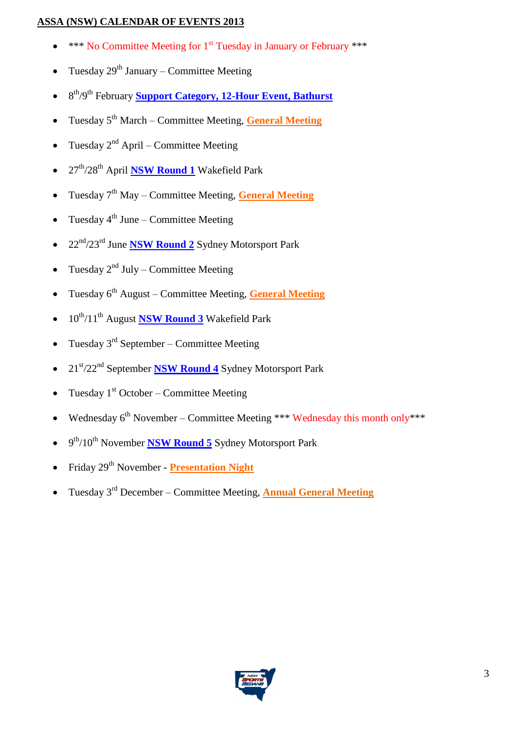#### **ASSA (NSW) CALENDAR OF EVENTS 2013**

- \*\*\* No Committee Meeting for 1<sup>st</sup> Tuesday in January or February \*\*\*
- Tuesday  $29^{th}$  January Committee Meeting
- 8<sup>th</sup>/9<sup>th</sup> February **Support Category, 12-Hour Event, Bathurst**
- **Tuesday 5<sup>th</sup> March Committee Meeting, General Meeting**
- Tuesday  $2^{nd}$  April Committee Meeting
- 27th/28th April **NSW Round 1** Wakefield Park
- Tuesday 7th May Committee Meeting, **General Meeting**
- Tuesday  $4<sup>th</sup>$  June Committee Meeting
- 22nd/23rd June **NSW Round 2** Sydney Motorsport Park
- Tuesday  $2^{nd}$  July Committee Meeting
- **Tuesday 6<sup>th</sup> August Committee Meeting, General Meeting**
- $10^{th}/11^{th}$  August **NSW Round 3** Wakefield Park
- Tuesday  $3<sup>rd</sup>$  September Committee Meeting
- 21st/22nd September **NSW Round 4** Sydney Motorsport Park
- Tuesday  $1<sup>st</sup> October Committee Meeting$
- Wednesday  $6^{th}$  November Committee Meeting \*\*\* Wednesday this month only\*\*\*
- 9<sup>th</sup>/10<sup>th</sup> November **NSW Round 5** Sydney Motorsport Park
- Friday 29<sup>th</sup> November **Presentation Night**
- **Tuesday 3<sup>rd</sup> December Committee Meeting, Annual General Meeting**

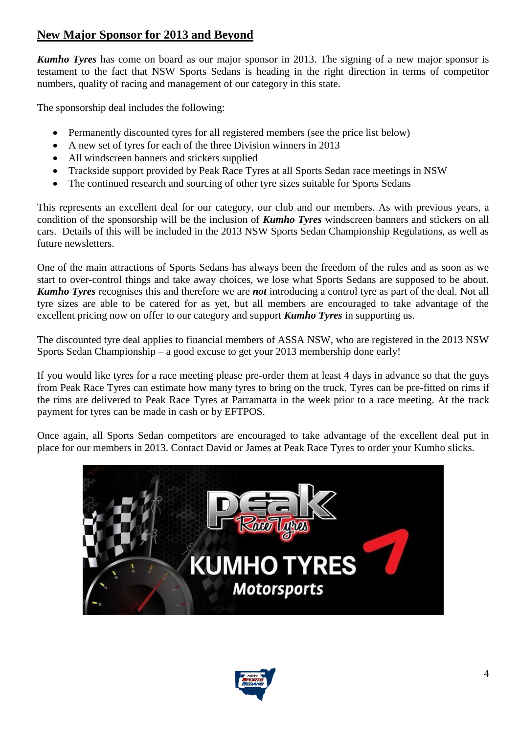## **New Major Sponsor for 2013 and Beyond**

*Kumho Tyres* has come on board as our major sponsor in 2013. The signing of a new major sponsor is testament to the fact that NSW Sports Sedans is heading in the right direction in terms of competitor numbers, quality of racing and management of our category in this state.

The sponsorship deal includes the following:

- Permanently discounted tyres for all registered members (see the price list below)
- A new set of tyres for each of the three Division winners in 2013
- All windscreen banners and stickers supplied
- Trackside support provided by Peak Race Tyres at all Sports Sedan race meetings in NSW
- The continued research and sourcing of other tyre sizes suitable for Sports Sedans

This represents an excellent deal for our category, our club and our members. As with previous years, a condition of the sponsorship will be the inclusion of *Kumho Tyres* windscreen banners and stickers on all cars. Details of this will be included in the 2013 NSW Sports Sedan Championship Regulations, as well as future newsletters.

One of the main attractions of Sports Sedans has always been the freedom of the rules and as soon as we start to over-control things and take away choices, we lose what Sports Sedans are supposed to be about. *Kumho Tyres* recognises this and therefore we are *not* introducing a control tyre as part of the deal. Not all tyre sizes are able to be catered for as yet, but all members are encouraged to take advantage of the excellent pricing now on offer to our category and support *Kumho Tyres* in supporting us.

The discounted tyre deal applies to financial members of ASSA NSW, who are registered in the 2013 NSW Sports Sedan Championship – a good excuse to get your 2013 membership done early!

If you would like tyres for a race meeting please pre-order them at least 4 days in advance so that the guys from Peak Race Tyres can estimate how many tyres to bring on the truck. Tyres can be pre-fitted on rims if the rims are delivered to Peak Race Tyres at Parramatta in the week prior to a race meeting. At the track payment for tyres can be made in cash or by EFTPOS.

Once again, all Sports Sedan competitors are encouraged to take advantage of the excellent deal put in place for our members in 2013. Contact David or James at Peak Race Tyres to order your Kumho slicks.



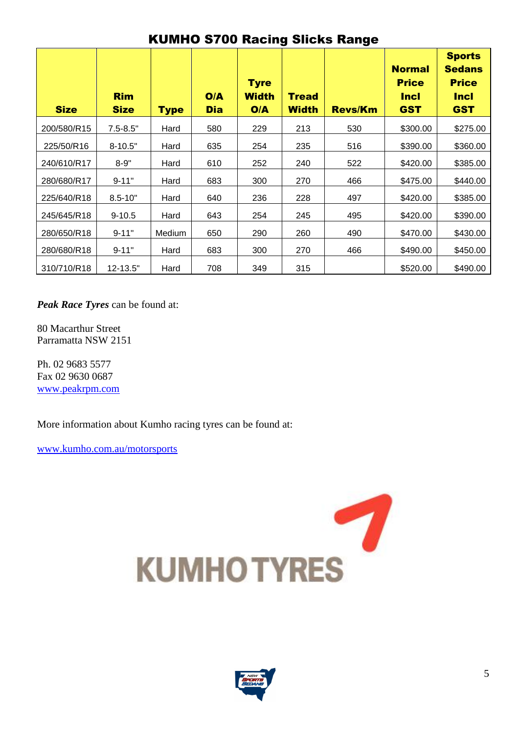| <b>Size</b> | <b>Rim</b><br><b>Size</b> | <b>Type</b> | O/A<br><b>Dia</b> | <b>Tyre</b><br><b>Width</b><br>O/A | <b>Tread</b><br><b>Width</b> | <b>Revs/Km</b> | <b>Normal</b><br><b>Price</b><br><b>Incl</b><br><b>GST</b> | <b>Sports</b><br><b>Sedans</b><br><b>Price</b><br><b>Incl</b><br><b>GST</b> |
|-------------|---------------------------|-------------|-------------------|------------------------------------|------------------------------|----------------|------------------------------------------------------------|-----------------------------------------------------------------------------|
| 200/580/R15 | $7.5 - 8.5"$              | Hard        | 580               | 229                                | 213                          | 530            | \$300.00                                                   | \$275.00                                                                    |
| 225/50/R16  | $8 - 10.5"$               | Hard        | 635               | 254                                | 235                          | 516            | \$390.00                                                   | \$360.00                                                                    |
| 240/610/R17 | $8 - 9"$                  | Hard        | 610               | 252                                | 240                          | 522            | \$420.00                                                   | \$385.00                                                                    |
| 280/680/R17 | $9 - 11"$                 | Hard        | 683               | 300                                | 270                          | 466            | \$475.00                                                   | \$440.00                                                                    |
| 225/640/R18 | $8.5 - 10"$               | Hard        | 640               | 236                                | 228                          | 497            | \$420.00                                                   | \$385.00                                                                    |
| 245/645/R18 | $9 - 10.5$                | Hard        | 643               | 254                                | 245                          | 495            | \$420.00                                                   | \$390.00                                                                    |
| 280/650/R18 | $9 - 11"$                 | Medium      | 650               | 290                                | 260                          | 490            | \$470.00                                                   | \$430.00                                                                    |
| 280/680/R18 | $9 - 11"$                 | Hard        | 683               | 300                                | 270                          | 466            | \$490.00                                                   | \$450.00                                                                    |
| 310/710/R18 | 12-13.5"                  | Hard        | 708               | 349                                | 315                          |                | \$520.00                                                   | \$490.00                                                                    |

# KUMHO S700 Racing Slicks Range

*Peak Race Tyres* can be found at:

80 Macarthur Street Parramatta NSW 2151

Ph. 02 9683 5577 Fax 02 9630 0687 [www.peakrpm.com](http://www.peakrpm.com/)

More information about Kumho racing tyres can be found at:

[www.kumho.com.au/motorsports](http://www.kumho.com.au/motorsports)



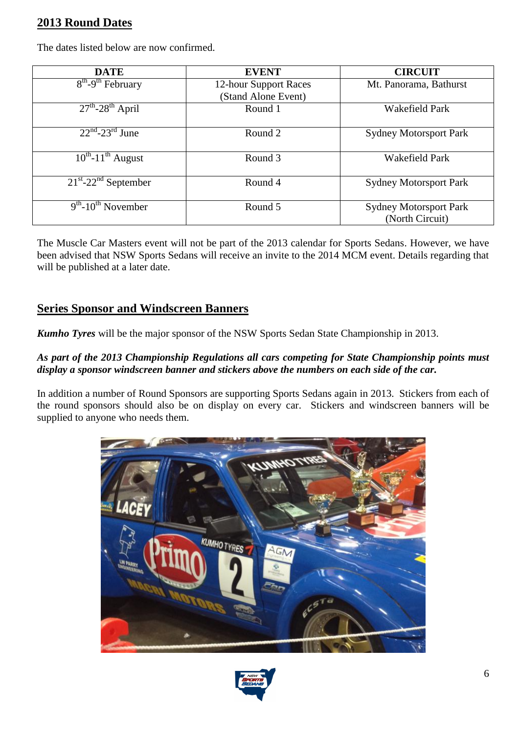## **2013 Round Dates**

| <b>DATE</b>                                    | <b>EVENT</b>                                 | <b>CIRCUIT</b>                                   |
|------------------------------------------------|----------------------------------------------|--------------------------------------------------|
| $8th-9th$ February                             | 12-hour Support Races<br>(Stand Alone Event) | Mt. Panorama, Bathurst                           |
| $27th - 28th$ April                            | Round 1                                      | <b>Wakefield Park</b>                            |
| $22^{nd}$ -23 <sup>rd</sup> June               | Round 2                                      | <b>Sydney Motorsport Park</b>                    |
| $10^{th}$ -11 <sup>th</sup> August             | Round 3                                      | Wakefield Park                                   |
| $21^{st}$ -22 <sup>nd</sup> September          | Round 4                                      | <b>Sydney Motorsport Park</b>                    |
| $\overline{9^{th}}$ -10 <sup>th</sup> November | Round 5                                      | <b>Sydney Motorsport Park</b><br>(North Circuit) |

The dates listed below are now confirmed.

The Muscle Car Masters event will not be part of the 2013 calendar for Sports Sedans. However, we have been advised that NSW Sports Sedans will receive an invite to the 2014 MCM event. Details regarding that will be published at a later date.

#### **Series Sponsor and Windscreen Banners**

*Kumho Tyres* will be the major sponsor of the NSW Sports Sedan State Championship in 2013.

#### *As part of the 2013 Championship Regulations all cars competing for State Championship points must display a sponsor windscreen banner and stickers above the numbers on each side of the car.*

In addition a number of Round Sponsors are supporting Sports Sedans again in 2013. Stickers from each of the round sponsors should also be on display on every car. Stickers and windscreen banners will be supplied to anyone who needs them.



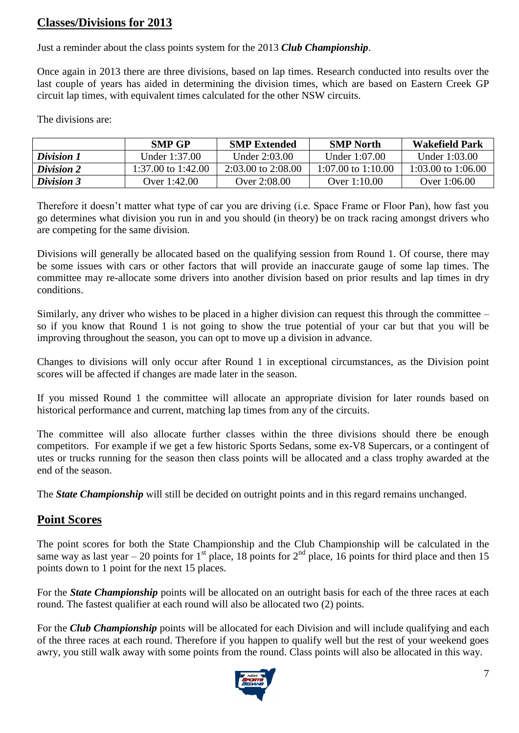## **Classes/Divisions for 2013**

Just a reminder about the class points system for the 2013 *Club Championship*.

Once again in 2013 there are three divisions, based on lap times. Research conducted into results over the last couple of years has aided in determining the division times, which are based on Eastern Creek GP circuit lap times, with equivalent times calculated for the other NSW circuits.

The divisions are:

|                   | <b>SMP GP</b>      | <b>SMP Extended</b>    | <b>SMP</b> North   | <b>Wakefield Park</b> |
|-------------------|--------------------|------------------------|--------------------|-----------------------|
| Division 1        | Under 1:37.00      | Under 2:03.00          | Under 1:07.00      | Under 1:03.00         |
| <b>Division 2</b> | 1:37.00 to 1:42.00 | $2:03.00$ to $2:08.00$ | 1:07.00 to 1:10.00 | 1:03.00 to 1:06.00    |
| <b>Division 3</b> | Over 1:42.00       | Over 2:08.00           | Over 1:10.00       | Over 1:06.00          |

Therefore it doesn't matter what type of car you are driving (i.e. Space Frame or Floor Pan), how fast you go determines what division you run in and you should (in theory) be on track racing amongst drivers who are competing for the same division.

Divisions will generally be allocated based on the qualifying session from Round 1. Of course, there may be some issues with cars or other factors that will provide an inaccurate gauge of some lap times. The committee may re-allocate some drivers into another division based on prior results and lap times in dry conditions.

Similarly, any driver who wishes to be placed in a higher division can request this through the committee – so if you know that Round 1 is not going to show the true potential of your car but that you will be improving throughout the season, you can opt to move up a division in advance.

Changes to divisions will only occur after Round 1 in exceptional circumstances, as the Division point scores will be affected if changes are made later in the season.

If you missed Round 1 the committee will allocate an appropriate division for later rounds based on historical performance and current, matching lap times from any of the circuits.

The committee will also allocate further classes within the three divisions should there be enough competitors. For example if we get a few historic Sports Sedans, some ex-V8 Supercars, or a contingent of utes or trucks running for the season then class points will be allocated and a class trophy awarded at the end of the season.

The *State Championship* will still be decided on outright points and in this regard remains unchanged.

## **Point Scores**

The point scores for both the State Championship and the Club Championship will be calculated in the same way as last year – 20 points for  $1<sup>st</sup>$  place,  $18$  points for  $2<sup>nd</sup>$  place,  $16$  points for third place and then 15 points down to 1 point for the next 15 places.

For the *State Championship* points will be allocated on an outright basis for each of the three races at each round. The fastest qualifier at each round will also be allocated two (2) points.

For the **Club Championship** points will be allocated for each Division and will include qualifying and each of the three races at each round. Therefore if you happen to qualify well but the rest of your weekend goes awry, you still walk away with some points from the round. Class points will also be allocated in this way.

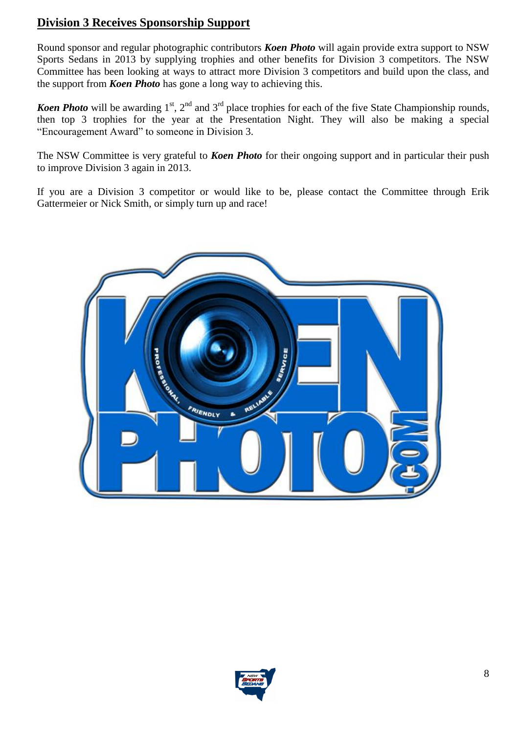## **Division 3 Receives Sponsorship Support**

Round sponsor and regular photographic contributors *Koen Photo* will again provide extra support to NSW Sports Sedans in 2013 by supplying trophies and other benefits for Division 3 competitors. The NSW Committee has been looking at ways to attract more Division 3 competitors and build upon the class, and the support from *Koen Photo* has gone a long way to achieving this.

*Koen Photo* will be awarding 1<sup>st</sup>, 2<sup>nd</sup> and 3<sup>rd</sup> place trophies for each of the five State Championship rounds, then top 3 trophies for the year at the Presentation Night. They will also be making a special "Encouragement Award" to someone in Division 3.

The NSW Committee is very grateful to *Koen Photo* for their ongoing support and in particular their push to improve Division 3 again in 2013.

If you are a Division 3 competitor or would like to be, please contact the Committee through Erik Gattermeier or Nick Smith, or simply turn up and race!



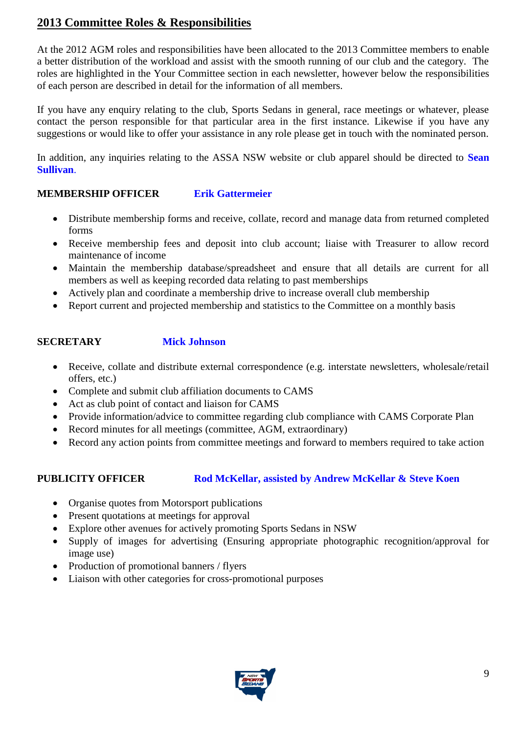## **2013 Committee Roles & Responsibilities**

At the 2012 AGM roles and responsibilities have been allocated to the 2013 Committee members to enable a better distribution of the workload and assist with the smooth running of our club and the category. The roles are highlighted in the Your Committee section in each newsletter, however below the responsibilities of each person are described in detail for the information of all members.

If you have any enquiry relating to the club, Sports Sedans in general, race meetings or whatever, please contact the person responsible for that particular area in the first instance. Likewise if you have any suggestions or would like to offer your assistance in any role please get in touch with the nominated person.

In addition, any inquiries relating to the ASSA NSW website or club apparel should be directed to **Sean Sullivan**.

#### **MEMBERSHIP OFFICER Erik Gattermeier**

- Distribute membership forms and receive, collate, record and manage data from returned completed forms
- Receive membership fees and deposit into club account; liaise with Treasurer to allow record maintenance of income
- Maintain the membership database/spreadsheet and ensure that all details are current for all members as well as keeping recorded data relating to past memberships
- Actively plan and coordinate a membership drive to increase overall club membership
- Report current and projected membership and statistics to the Committee on a monthly basis

### **SECRETARY Mick Johnson**

- Receive, collate and distribute external correspondence (e.g. interstate newsletters, wholesale/retail offers, etc.)
- Complete and submit club affiliation documents to CAMS
- Act as club point of contact and liaison for CAMS
- Provide information/advice to committee regarding club compliance with CAMS Corporate Plan
- Record minutes for all meetings (committee, AGM, extraordinary)
- Record any action points from committee meetings and forward to members required to take action

#### **PUBLICITY OFFICER Rod McKellar, assisted by Andrew McKellar & Steve Koen**

- Organise quotes from Motorsport publications
- Present quotations at meetings for approval
- Explore other avenues for actively promoting Sports Sedans in NSW
- Supply of images for advertising (Ensuring appropriate photographic recognition/approval for image use)
- Production of promotional banners / flyers
- Liaison with other categories for cross-promotional purposes

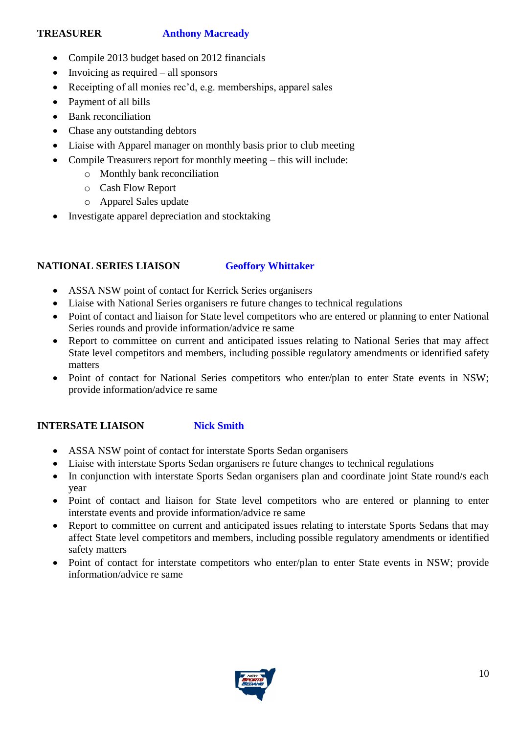#### **TREASURER Anthony Macready**

- Compile 2013 budget based on 2012 financials
- $\bullet$  Invoicing as required all sponsors
- Receipting of all monies rec'd, e.g. memberships, apparel sales
- Payment of all bills
- Bank reconciliation
- Chase any outstanding debtors
- Liaise with Apparel manager on monthly basis prior to club meeting
- Compile Treasurers report for monthly meeting this will include:
	- o Monthly bank reconciliation
	- o Cash Flow Report
	- o Apparel Sales update
- Investigate apparel depreciation and stocktaking

#### **NATIONAL SERIES LIAISON Geoffory Whittaker**

- ASSA NSW point of contact for Kerrick Series organisers
- Liaise with National Series organisers re future changes to technical regulations
- Point of contact and liaison for State level competitors who are entered or planning to enter National Series rounds and provide information/advice re same
- Report to committee on current and anticipated issues relating to National Series that may affect State level competitors and members, including possible regulatory amendments or identified safety matters
- Point of contact for National Series competitors who enter/plan to enter State events in NSW; provide information/advice re same

#### **INTERSATE LIAISON Nick Smith**

- ASSA NSW point of contact for interstate Sports Sedan organisers
- Liaise with interstate Sports Sedan organisers re future changes to technical regulations
- In conjunction with interstate Sports Sedan organisers plan and coordinate joint State round/s each year
- Point of contact and liaison for State level competitors who are entered or planning to enter interstate events and provide information/advice re same
- Report to committee on current and anticipated issues relating to interstate Sports Sedans that may affect State level competitors and members, including possible regulatory amendments or identified safety matters
- Point of contact for interstate competitors who enter/plan to enter State events in NSW; provide information/advice re same

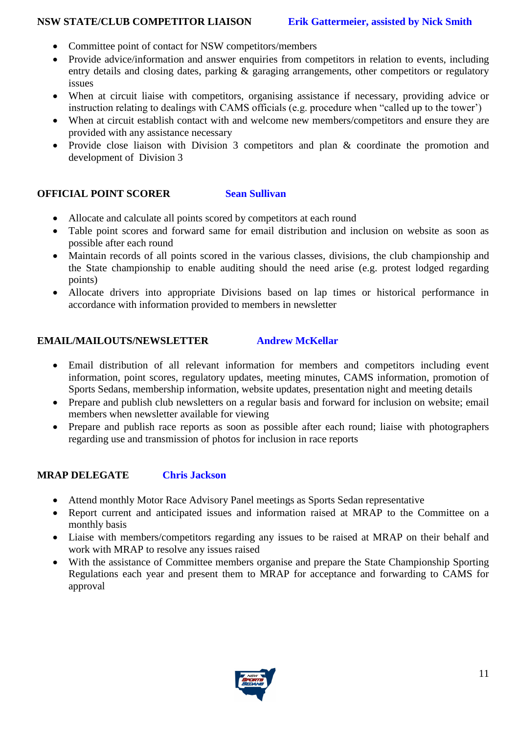#### **NSW STATE/CLUB COMPETITOR LIAISON Erik Gattermeier, assisted by Nick Smith**

- Committee point of contact for NSW competitors/members
- Provide advice/information and answer enquiries from competitors in relation to events, including entry details and closing dates, parking  $\&$  garaging arrangements, other competitors or regulatory issues
- When at circuit liaise with competitors, organising assistance if necessary, providing advice or instruction relating to dealings with CAMS officials (e.g. procedure when "called up to the tower')
- When at circuit establish contact with and welcome new members/competitors and ensure they are provided with any assistance necessary
- Provide close liaison with Division 3 competitors and plan & coordinate the promotion and development of Division 3

### **OFFICIAL POINT SCORER Sean Sullivan**

- Allocate and calculate all points scored by competitors at each round
- Table point scores and forward same for email distribution and inclusion on website as soon as possible after each round
- Maintain records of all points scored in the various classes, divisions, the club championship and the State championship to enable auditing should the need arise (e.g. protest lodged regarding points)
- Allocate drivers into appropriate Divisions based on lap times or historical performance in accordance with information provided to members in newsletter

#### **EMAIL/MAILOUTS/NEWSLETTER Andrew McKellar**

- Email distribution of all relevant information for members and competitors including event information, point scores, regulatory updates, meeting minutes, CAMS information, promotion of Sports Sedans, membership information, website updates, presentation night and meeting details
- Prepare and publish club newsletters on a regular basis and forward for inclusion on website; email members when newsletter available for viewing
- Prepare and publish race reports as soon as possible after each round; liaise with photographers regarding use and transmission of photos for inclusion in race reports

#### **MRAP DELEGATE Chris Jackson**

- Attend monthly Motor Race Advisory Panel meetings as Sports Sedan representative
- Report current and anticipated issues and information raised at MRAP to the Committee on a monthly basis
- Liaise with members/competitors regarding any issues to be raised at MRAP on their behalf and work with MRAP to resolve any issues raised
- With the assistance of Committee members organise and prepare the State Championship Sporting Regulations each year and present them to MRAP for acceptance and forwarding to CAMS for approval

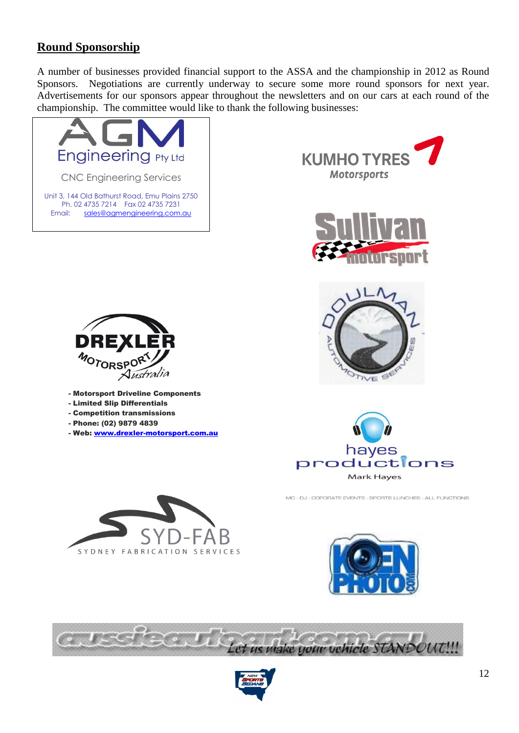## **Round Sponsorship**

A number of businesses provided financial support to the ASSA and the championship in 2012 as Round Sponsors. Negotiations are currently underway to secure some more round sponsors for next year. Advertisements for our sponsors appear throughout the newsletters and on our cars at each round of the championship. The committee would like to thank the following businesses:





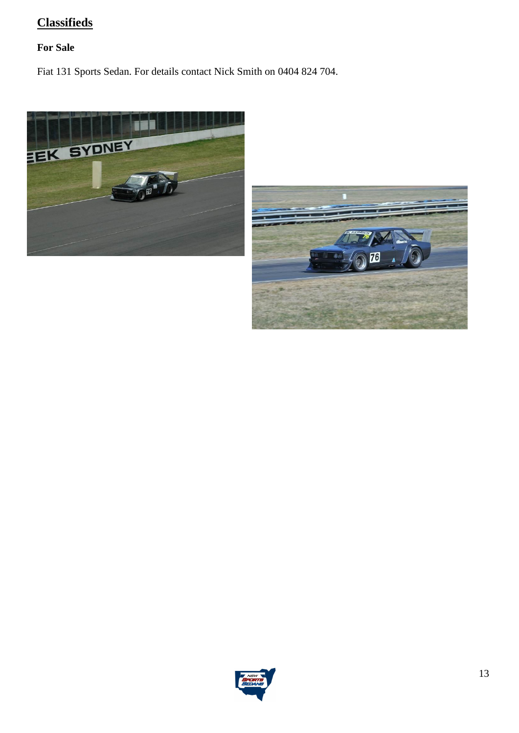# **Classifieds**

## **For Sale**

Fiat 131 Sports Sedan. For details contact Nick Smith on 0404 824 704.